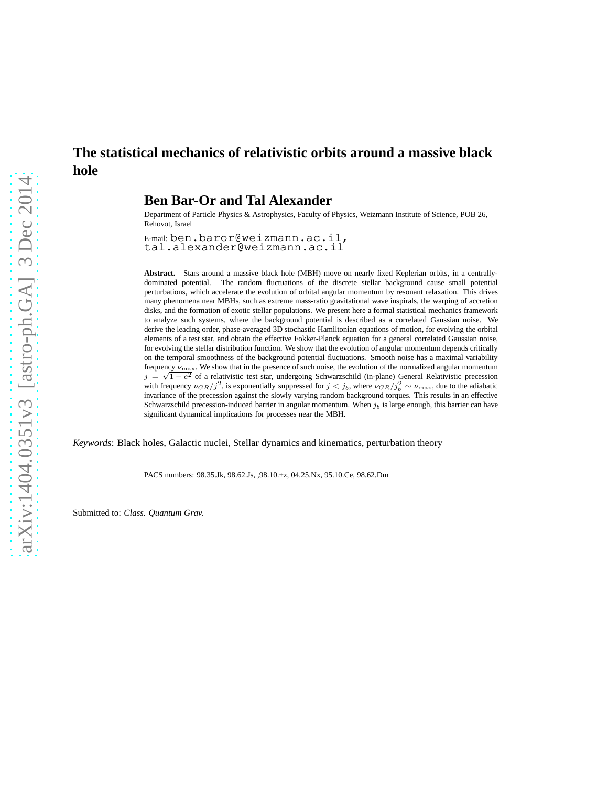# **The statistical mechanics of relativistic orbits around a massive black hole**

## **Ben Bar-Or and Tal Alexander**

Department of Particle Physics & Astrophysics, Faculty of Physics, Weizmann Institute of Science, POB 26, Rehovot, Israel

E-mail: ben.baror@weizmann.ac.il, tal.alexander@weizmann.ac.il

**Abstract.** Stars around a massive black hole (MBH) move on nearly fixed Keplerian orbits, in a centrallydominated potential. The random fluctuations of the discrete stellar background cause small potential perturbations, which accelerate the evolution of orbital angular momentum by resonant relaxation. This drives many phenomena near MBHs, such as extreme mass-ratio gravitational wave inspirals, the warping of accretion disks, and the formation of exotic stellar populations. We present here a formal statistical mechanics framework to analyze such systems, where the background potential is described as a correlated Gaussian noise. We derive the leading order, phase-averaged 3D stochastic Hamiltonian equations of motion, for evolving the orbital elements of a test star, and obtain the effective Fokker-Planck equation for a general correlated Gaussian noise, for evolving the stellar distribution function. We show that the evolution of angular momentum depends critically on the temporal smoothness of the background potential fluctuations. Smooth noise has a maximal variability frequency  $\nu_{\text{max}}$ . We show that in the presence of such noise, the evolution of the normalized angular momentum  $j = \sqrt{1 - e^2}$  of a relativistic test star, undergoing Schwarzschild (in-plane) General Relativistic precession  $j = \sqrt{1 - e^2}$ with frequency  $\nu_{GR}/j^2$ , is exponentially suppressed for  $j < j_b$ , where  $\nu_{GR}/j_b^2 \sim \nu_{\text{max}}$ , due to the adiabatic invariance of the precession against the slowly varying random background torques. This results in an effective Schwarzschild precession-induced barrier in angular momentum. When  $j<sub>b</sub>$  is large enough, this barrier can have significant dynamical implications for processes near the MBH.

*Keywords*: Black holes, Galactic nuclei, Stellar dynamics and kinematics, perturbation theory

PACS numbers: 98.35.Jk, 98.62.Js, ,98.10.+z, 04.25.Nx, 95.10.Ce, 98.62.Dm

Submitted to: *Class. Quantum Grav.*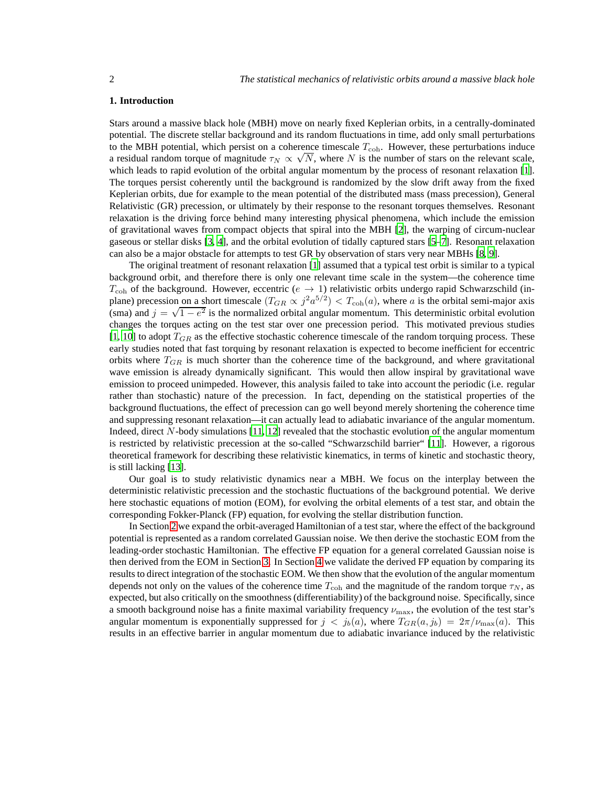#### **1. Introduction**

Stars around a massive black hole (MBH) move on nearly fixed Keplerian orbits, in a centrally-dominated potential. The discrete stellar background and its random fluctuations in time, add only small perturbations to the MBH potential, which persist on a coherence timescale  $T_{\text{coh}}$ . However, these perturbations induce a residual random torque of magnitude  $\tau_N \propto \sqrt{N}$ , where N is the number of stars on the relevant scale, which leads to rapid evolution of the orbital angular momentum by the process of resonant relaxation [\[1\]](#page-16-0). The torques persist coherently until the background is randomized by the slow drift away from the fixed Keplerian orbits, due for example to the mean potential of the distributed mass (mass precession), General Relativistic (GR) precession, or ultimately by their response to the resonant torques themselves. Resonant relaxation is the driving force behind many interesting physical phenomena, which include the emission of gravitational waves from compact objects that spiral into the MBH [\[2](#page-16-1)], the warping of circum-nuclear gaseous or stellar disks [\[3](#page-16-2), [4](#page-16-3)], and the orbital evolution of tidally captured stars [\[5](#page-16-4)[–7](#page-16-5)]. Resonant relaxation can also be a major obstacle for attempts to test GR by observation of stars very near MBHs [\[8,](#page-16-6) [9\]](#page-16-7).

The original treatment of resonant relaxation [\[1\]](#page-16-0) assumed that a typical test orbit is similar to a typical background orbit, and therefore there is only one relevant time scale in the system—the coherence time  $T_{\text{coh}}$  of the background. However, eccentric ( $e \rightarrow 1$ ) relativistic orbits undergo rapid Schwarzschild (inplane) precession on a short timescale  $(T_{GR} \propto j^2 a^{5/2}) < T_{coh}(a)$ , where a is the orbital semi-major axis (sma) and  $j = \sqrt{1 - e^2}$  is the normalized orbital angular momentum. This deterministic orbital evolution changes the torques acting on the test star over one precession period. This motivated previous studies [\[1,](#page-16-0) [10\]](#page-16-8) to adopt  $T_{GR}$  as the effective stochastic coherence timescale of the random torquing process. These early studies noted that fast torquing by resonant relaxation is expected to become inefficient for eccentric orbits where  $T_{GR}$  is much shorter than the coherence time of the background, and where gravitational wave emission is already dynamically significant. This would then allow inspiral by gravitational wave emission to proceed unimpeded. However, this analysis failed to take into account the periodic (i.e. regular rather than stochastic) nature of the precession. In fact, depending on the statistical properties of the background fluctuations, the effect of precession can go well beyond merely shortening the coherence time and suppressing resonant relaxation—it can actually lead to adiabatic invariance of the angular momentum. Indeed, direct N-body simulations [\[11](#page-16-9), [12](#page-16-10)] revealed that the stochastic evolution of the angular momentum is restricted by relativistic precession at the so-called "Schwarzschild barrier" [\[11](#page-16-9)]. However, a rigorous theoretical framework for describing these relativistic kinematics, in terms of kinetic and stochastic theory, is still lacking [\[13\]](#page-16-11).

Our goal is to study relativistic dynamics near a MBH. We focus on the interplay between the deterministic relativistic precession and the stochastic fluctuations of the background potential. We derive here stochastic equations of motion (EOM), for evolving the orbital elements of a test star, and obtain the corresponding Fokker-Planck (FP) equation, for evolving the stellar distribution function.

In Section [2](#page-2-0) we expand the orbit-averaged Hamiltonian of a test star, where the effect of the background potential is represented as a random correlated Gaussian noise. We then derive the stochastic EOM from the leading-order stochastic Hamiltonian. The effective FP equation for a general correlated Gaussian noise is then derived from the EOM in Section [3.](#page-5-0) In Section [4](#page-9-0) we validate the derived FP equation by comparing its results to direct integration of the stochastic EOM. We then show that the evolution of the angular momentum depends not only on the values of the coherence time  $T_{\text{coh}}$  and the magnitude of the random torque  $\tau_N$ , as expected, but also critically on the smoothness (differentiability) of the background noise. Specifically, since a smooth background noise has a finite maximal variability frequency  $\nu_{\text{max}}$ , the evolution of the test star's angular momentum is exponentially suppressed for  $j < j_b(a)$ , where  $T_{GR}(a, j_b) = 2\pi/\nu_{\max}(a)$ . This results in an effective barrier in angular momentum due to adiabatic invariance induced by the relativistic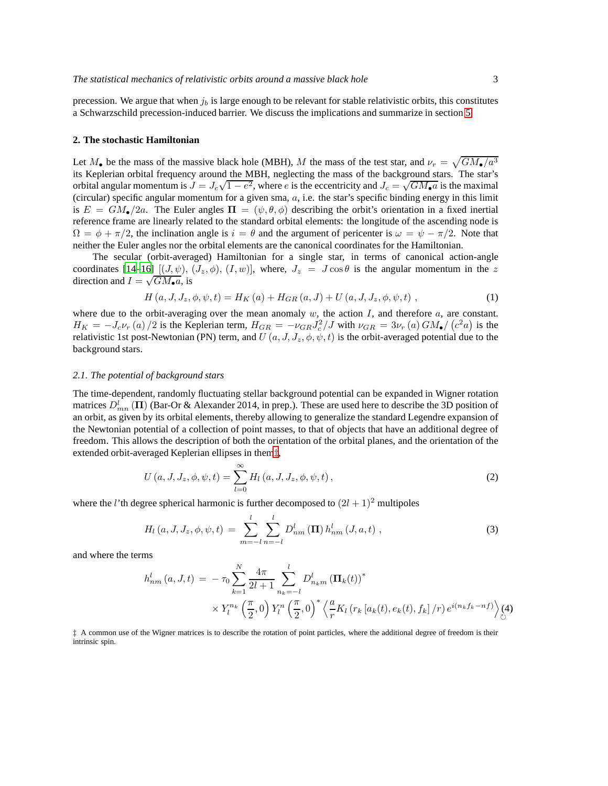precession. We argue that when  $j_b$  is large enough to be relevant for stable relativistic orbits, this constitutes a Schwarzschild precession-induced barrier. We discuss the implications and summarize in section [5.](#page-12-0)

## <span id="page-2-0"></span>**2. The stochastic Hamiltonian**

Let  $M_{\bullet}$  be the mass of the massive black hole (MBH), M the mass of the test star, and  $\nu_r = \sqrt{GM_{\bullet}/a^3}$ its Keplerian orbital frequency around the MBH, neglecting the mass of the background stars. The star's orbital angular momentum is  $J = J_c \sqrt{1 - e^2}$ , where e is the eccentricity and  $J_c = \sqrt{GM_{\bullet}a}$  is the maximal (circular) specific angular momentum for a given sma,  $a$ , i.e. the star's specific binding energy in this limit is  $E = GM_{\bullet}/2a$ . The Euler angles  $\Pi = (\psi, \theta, \phi)$  describing the orbit's orientation in a fixed inertial reference frame are linearly related to the standard orbital elements: the longitude of the ascending node is  $\Omega = \phi + \pi/2$ , the inclination angle is  $i = \theta$  and the argument of pericenter is  $\omega = \psi - \pi/2$ . Note that neither the Euler angles nor the orbital elements are the canonical coordinates for the Hamiltonian.

The secular (orbit-averaged) Hamiltonian for a single star, in terms of canonical action-angle coordinates  $[14-16]$   $[(J, \psi), (J_z, \phi), (I, w)]$ , where,  $J_z = J \cos \theta$  is the angular momentum in the z direction and  $I = \sqrt{GM_{\bullet}a}$ , is

$$
H(a, J, J_z, \phi, \psi, t) = H_K(a) + H_{GR}(a, J) + U(a, J, J_z, \phi, \psi, t) ,
$$
\n(1)

where due to the orbit-averaging over the mean anomaly  $w$ , the action  $I$ , and therefore  $a$ , are constant.  $H_K = -J_c \nu_r(a)/2$  is the Keplerian term,  $H_{GR} = -\nu_{GR} J_c^2/J$  with  $\nu_{GR} = 3\nu_r(a) GM_{\bullet}/(c^2 a)$  is the relativistic 1st post-Newtonian (PN) term, and  $U(a, J, J_z, \phi, \psi, t)$  is the orbit-averaged potential due to the background stars.

## *2.1. The potential of background stars*

The time-dependent, randomly fluctuating stellar background potential can be expanded in Wigner rotation matrices  $D_{mn}^l$  ( $\Pi$ ) (Bar-Or & Alexander 2014, in prep.). These are used here to describe the 3D position of an orbit, as given by its orbital elements, thereby allowing to generalize the standard Legendre expansion of the Newtonian potential of a collection of point masses, to that of objects that have an additional degree of freedom. This allows the description of both the orientation of the orbital planes, and the orientation of the extended orbit-averaged Keplerian ellipses in them[‡](#page-2-1),

$$
U(a, J, J_z, \phi, \psi, t) = \sum_{l=0}^{\infty} H_l(a, J, J_z, \phi, \psi, t),
$$
 (2)

where the *l*'th degree spherical harmonic is further decomposed to  $(2l + 1)^2$  multipoles

<span id="page-2-3"></span>
$$
H_{l}(a, J, J_{z}, \phi, \psi, t) = \sum_{m=-l}^{l} \sum_{n=-l}^{l} D_{nm}^{l}(\mathbf{\Pi}) h_{nm}^{l}(J, a, t) ,
$$
 (3)

and where the terms

<span id="page-2-2"></span>
$$
h_{nm}^{l}(a, J, t) = -\tau_0 \sum_{k=1}^{N} \frac{4\pi}{2l+1} \sum_{n_k=-l}^{l} D_{n_k m}^{l} (\Pi_k(t))^*
$$
  
 
$$
\times Y_l^{n_k} \left(\frac{\pi}{2}, 0\right) Y_l^{n} \left(\frac{\pi}{2}, 0\right)^* \left\langle \frac{a}{r} K_l \left(r_k \left[a_k(t), e_k(t), f_k\right] / r\right) e^{i\left(n_k f_k - nf\right)} \right\rangle_{\circlearrowright} (4)
$$

<span id="page-2-1"></span>‡ A common use of the Wigner matrices is to describe the rotation of point particles, where the additional degree of freedom is their intrinsic spin.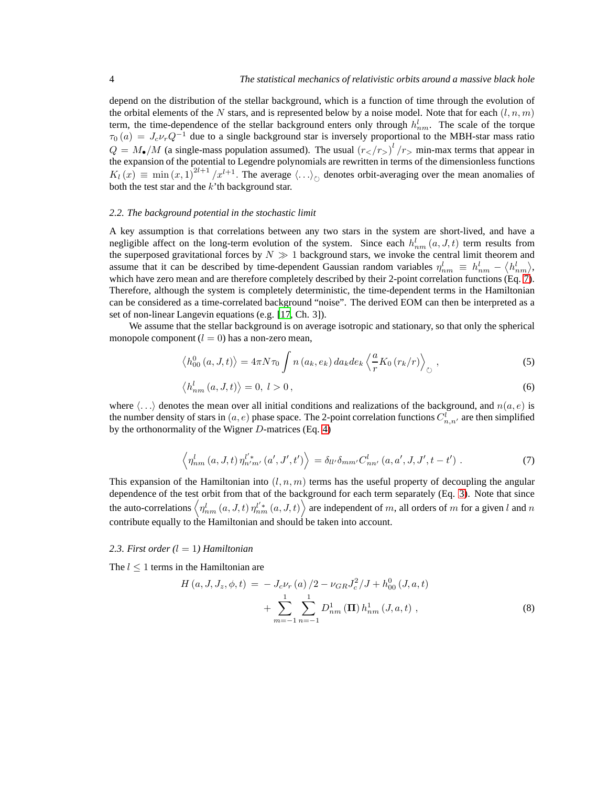depend on the distribution of the stellar background, which is a function of time through the evolution of the orbital elements of the N stars, and is represented below by a noise model. Note that for each  $(l, n, m)$ term, the time-dependence of the stellar background enters only through  $h_{nm}^l$ . The scale of the torque  $\tau_0(a) = J_c \nu_r Q^{-1}$  due to a single background star is inversely proportional to the MBH-star mass ratio  $Q = M_{\bullet}/M$  (a single-mass population assumed). The usual  $(r_{\lt}/r_{>})^l/r_{>}$  min-max terms that appear in the expansion of the potential to Legendre polynomials are rewritten in terms of the dimensionless functions  $K_l(x) \equiv \min(x, 1)^{2l+1}/x^{l+1}$ . The average  $\langle \ldots \rangle_{\circlearrowright}$  denotes orbit-averaging over the mean anomalies of both the test star and the  $k$ 'th background star.

## *2.2. The background potential in the stochastic limit*

A key assumption is that correlations between any two stars in the system are short-lived, and have a negligible affect on the long-term evolution of the system. Since each  $h_{nm}^l(a, J, t)$  term results from the superposed gravitational forces by  $N \gg 1$  background stars, we invoke the central limit theorem and assume that it can be described by time-dependent Gaussian random variables  $\eta_{nm}^l \equiv h_{nm}^l - \langle h_{nm}^l \rangle$ , which have zero mean and are therefore completely described by their 2-point correlation functions (Eq. [7\)](#page-3-0). Therefore, although the system is completely deterministic, the time-dependent terms in the Hamiltonian can be considered as a time-correlated background "noise". The derived EOM can then be interpreted as a set of non-linear Langevin equations (e.g. [\[17,](#page-16-14) Ch. 3]).

We assume that the stellar background is on average isotropic and stationary, so that only the spherical monopole component  $(l = 0)$  has a non-zero mean,

$$
\left\langle h_{00}^{0}\left(a,J,t\right)\right\rangle =4\pi N\tau_{0}\int n\left(a_{k},e_{k}\right)da_{k}de_{k}\left\langle \frac{a}{r}K_{0}\left(r_{k}/r\right)\right\rangle _{\circlearrowright},\tag{5}
$$

$$
\langle h_{nm}^l(a,J,t) \rangle = 0, l > 0,
$$
\n<sup>(6)</sup>

where  $\langle \ldots \rangle$  denotes the mean over all initial conditions and realizations of the background, and  $n(a, e)$  is the number density of stars in  $(a, e)$  phase space. The 2-point correlation functions  $C_{n,n'}^l$  are then simplified by the orthonormality of the Wigner D-matrices (Eq. [4\)](#page-2-2)

<span id="page-3-0"></span>
$$
\left\langle \eta_{nm}^{l}\left(a,J,t\right)\eta_{n'm'}^{l'*}\left(a',J',t'\right)\right\rangle = \delta_{ll'}\delta_{mm'}C_{nn'}^{l}\left(a,a',J,J',t-t'\right).
$$
\n(7)

This expansion of the Hamiltonian into  $(l, n, m)$  terms has the useful property of decoupling the angular dependence of the test orbit from that of the background for each term separately (Eq. [3\)](#page-2-3). Note that since the auto-correlations  $\left\langle \eta_{nm}^l\left(a,J,t\right)\eta_{nm}^{l'*}\left(a,J,t\right)\right\rangle$  are independent of m, all orders of m for a given l and n contribute equally to the Hamiltonian and should be taken into account.

## *2.3. First order (*l = 1*) Hamiltonian*

The  $l \leq 1$  terms in the Hamiltonian are

$$
H(a, J, J_z, \phi, t) = -J_c \nu_r(a)/2 - \nu_{GR} J_c^2/J + h_{00}^0(J, a, t)
$$
  
+ 
$$
\sum_{m=-1}^{1} \sum_{n=-1}^{1} D_{nm}^1(\mathbf{\Pi}) h_{nm}^1(J, a, t) ,
$$
 (8)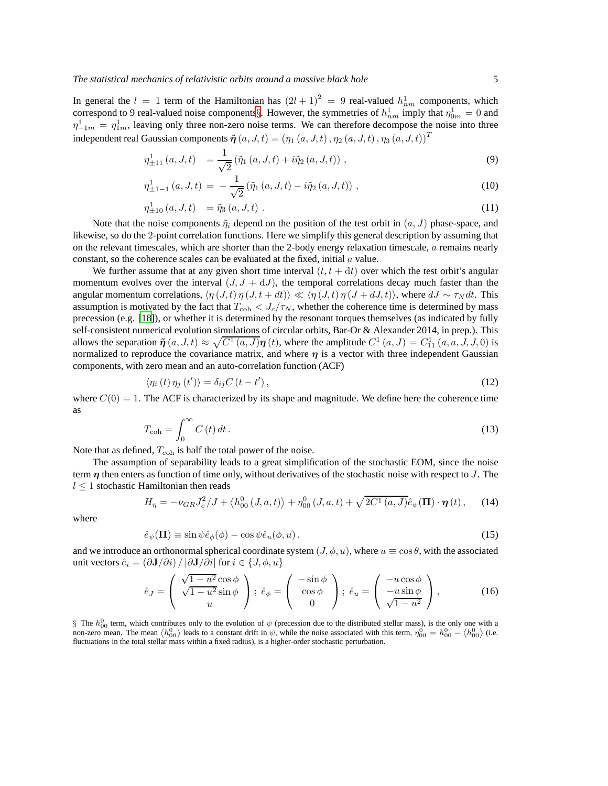In general the  $l = 1$  term of the Hamiltonian has  $(2l + 1)^2 = 9$  real-valued  $h_{nm}^1$  components, which correspond to 9 real-valued noise components[§](#page-4-0). However, the symmetries of  $h_{nm}^1$  imply that  $\eta_{0m}^1 = 0$  and  $\eta_{-1m}^1 = \eta_{1m}^1$ , leaving only three non-zero noise terms. We can therefore decompose the noise into three independent real Gaussian components  $\tilde{\eta}(a, J, t) = (\eta_1(a, J, t), \eta_2(a, J, t), \eta_3(a, J, t))^T$ 

$$
\eta_{\pm 11}^1(a, J, t) = \frac{1}{\sqrt{2}} (\tilde{\eta}_1(a, J, t) + i\tilde{\eta}_2(a, J, t)), \qquad (9)
$$

$$
\eta_{\pm 1-1}^1(a, J, t) = -\frac{1}{\sqrt{2}} (\tilde{\eta}_1(a, J, t) - i \tilde{\eta}_2(a, J, t)), \qquad (10)
$$

$$
\eta_{\pm 10}^1 (a, J, t) = \tilde{\eta}_3 (a, J, t) . \tag{11}
$$

Note that the noise components  $\tilde{\eta}_i$  depend on the position of the test orbit in  $(a, J)$  phase-space, and likewise, so do the 2-point correlation functions. Here we simplify this general description by assuming that on the relevant timescales, which are shorter than the 2-body energy relaxation timescale, a remains nearly constant, so the coherence scales can be evaluated at the fixed, initial  $\alpha$  value.

We further assume that at any given short time interval  $(t, t + dt)$  over which the test orbit's angular momentum evolves over the interval  $(J, J + dJ)$ , the temporal correlations decay much faster than the angular momentum correlations,  $\langle \eta(J, t) \eta(J, t + dt) \rangle \ll \langle \eta(J, t) \eta(J + dJ, t) \rangle$ , where  $dJ \sim \tau_N dt$ . This assumption is motivated by the fact that  $T_{\text{coh}} < J_c/\tau_N$ , whether the coherence time is determined by mass precession (e.g. [\[18\]](#page-16-15)), or whether it is determined by the resonant torques themselves (as indicated by fully self-consistent numerical evolution simulations of circular orbits, Bar-Or & Alexander 2014, in prep.). This allows the separation  $\tilde{\eta}(a, J, t) \approx \sqrt{C^1(a, J)} \eta(t)$ , where the amplitude  $C^1(a, J) = C^1_{11}(a, a, J, J, 0)$  is normalized to reproduce the covariance matrix, and where  $\eta$  is a vector with three independent Gaussian components, with zero mean and an auto-correlation function (ACF)

<span id="page-4-2"></span>
$$
\langle \eta_i(t)\,\eta_j(t')\rangle = \delta_{ij}C\,(t-t')\,,\tag{12}
$$

where  $C(0) = 1$ . The ACF is characterized by its shape and magnitude. We define here the coherence time as

<span id="page-4-3"></span>
$$
T_{\rm coh} = \int_0^\infty C(t) \, dt \,. \tag{13}
$$

Note that as defined,  $T_{\rm coh}$  is half the total power of the noise.

The assumption of separability leads to a great simplification of the stochastic EOM, since the noise term  $\eta$  then enters as function of time only, without derivatives of the stochastic noise with respect to J. The  $l \leq 1$  stochastic Hamiltonian then reads

<span id="page-4-1"></span>
$$
H_{\eta} = -\nu_{GR}J_c^2/J + \langle h_{00}^0 (J, a, t) \rangle + \eta_{00}^0 (J, a, t) + \sqrt{2C^1 (a, J)} \hat{e}_{\psi}(\Pi) \cdot \eta (t), \qquad (14)
$$

where

$$
\hat{e}_{\psi}(\mathbf{\Pi}) \equiv \sin \psi \hat{e}_{\phi}(\phi) - \cos \psi \hat{e}_{u}(\phi, u). \tag{15}
$$

and we introduce an orthonormal spherical coordinate system  $(J, \phi, u)$ , where  $u \equiv \cos \theta$ , with the associated unit vectors  $\hat{e}_i = (\partial \mathbf{J}/\partial i) / |\partial \mathbf{J}/\partial i|$  for  $i \in \{J, \phi, u\}$ 

$$
\hat{e}_J = \begin{pmatrix} \sqrt{1 - u^2} \cos \phi \\ \sqrt{1 - u^2} \sin \phi \\ u \end{pmatrix}; \ \hat{e}_\phi = \begin{pmatrix} -\sin \phi \\ \cos \phi \\ 0 \end{pmatrix}; \ \hat{e}_u = \begin{pmatrix} -u \cos \phi \\ -u \sin \phi \\ \sqrt{1 - u^2} \end{pmatrix}, \tag{16}
$$

<span id="page-4-0"></span>§ The  $h_{00}^0$  term, which contributes only to the evolution of  $\psi$  (precession due to the distributed stellar mass), is the only one with a non-zero mean. The mean  $\langle h_{00}^0 \rangle$  leads to a constant drift in  $\psi$ , while fluctuations in the total stellar mass within a fixed radius), is a higher-order stochastic perturbation.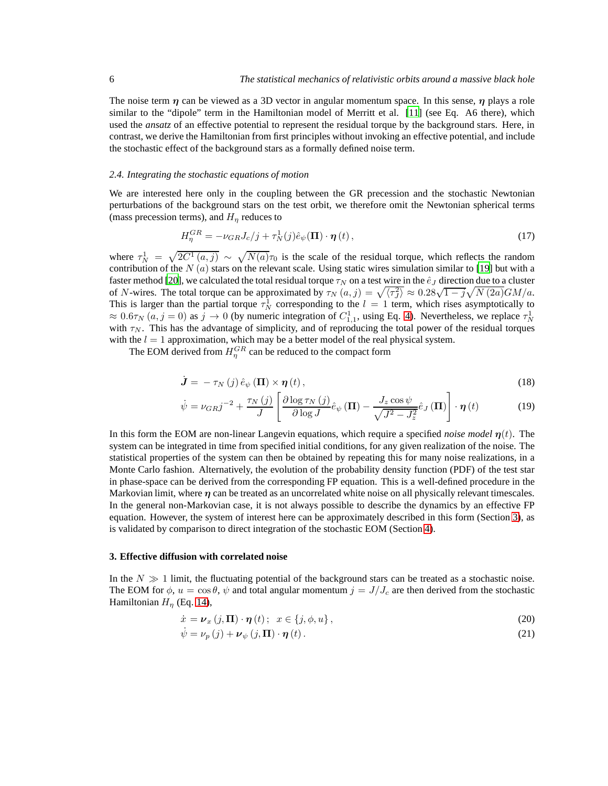The noise term  $\eta$  can be viewed as a 3D vector in angular momentum space. In this sense,  $\eta$  plays a role similar to the "dipole" term in the Hamiltonian model of Merritt et al. [\[11\]](#page-16-9) (see Eq. A6 there), which used the *ansatz* of an effective potential to represent the residual torque by the background stars. Here, in contrast, we derive the Hamiltonian from first principles without invoking an effective potential, and include the stochastic effect of the background stars as a formally defined noise term.

#### *2.4. Integrating the stochastic equations of motion*

We are interested here only in the coupling between the GR precession and the stochastic Newtonian perturbations of the background stars on the test orbit, we therefore omit the Newtonian spherical terms (mass precession terms), and  $H<sub>\eta</sub>$  reduces to

<span id="page-5-2"></span>
$$
H_{\eta}^{GR} = -\nu_{GR}J_c/j + \tau_N^1(j)\hat{e}_{\psi}(\mathbf{\Pi}) \cdot \boldsymbol{\eta}(t), \qquad (17)
$$

where  $\tau_N^1 = \sqrt{2C^1(a, j)} \sim \sqrt{N(a)}\tau_0$  is the scale of the residual torque, which reflects the random contribution of the N  $(a)$  stars on the relevant scale. Using static wires simulation similar to [\[19\]](#page-16-16) but with a faster method [\[20\]](#page-16-17), we calculated the total residual torque  $\tau_N$  on a test wire in the  $\hat{e}_J$  direction due to a cluster of N-wires. The total torque can be approximated by  $\tau_N(a, j) = \sqrt{\langle \tau_j^2 \rangle} \approx 0.28\sqrt{1 - j} \sqrt{N(2a)} GM/a$ . This is larger than the partial torque  $\tau_N^1$  corresponding to the  $l = 1$  term, which rises asymptotically to  $\approx 0.6\tau_N(a, j = 0)$  as  $j \to 0$  (by numeric integration of  $C_{1,1}^1$ , using Eq. [4\)](#page-2-2). Nevertheless, we replace  $\tau_N^1$ with  $\tau_N$ . This has the advantage of simplicity, and of reproducing the total power of the residual torques with the  $l = 1$  approximation, which may be a better model of the real physical system.

The EOM derived from  $H_{\eta}^{GR}$  can be reduced to the compact form

<span id="page-5-3"></span>
$$
\dot{\boldsymbol{J}} = -\tau_N\left(j\right)\hat{e}_{\psi}\left(\boldsymbol{\Pi}\right) \times \boldsymbol{\eta}\left(t\right),\tag{18}
$$

$$
\dot{\psi} = \nu_{GR}j^{-2} + \frac{\tau_N(j)}{J} \left[ \frac{\partial \log \tau_N(j)}{\partial \log J} \hat{e}_{\psi} \left( \mathbf{\Pi} \right) - \frac{J_z \cos \psi}{\sqrt{J^2 - J_z^2}} \hat{e}_J \left( \mathbf{\Pi} \right) \right] \cdot \boldsymbol{\eta} \left( t \right) \tag{19}
$$

In this form the EOM are non-linear Langevin equations, which require a specified *noise model*  $\eta(t)$ . The system can be integrated in time from specified initial conditions, for any given realization of the noise. The statistical properties of the system can then be obtained by repeating this for many noise realizations, in a Monte Carlo fashion. Alternatively, the evolution of the probability density function (PDF) of the test star in phase-space can be derived from the corresponding FP equation. This is a well-defined procedure in the Markovian limit, where  $\eta$  can be treated as an uncorrelated white noise on all physically relevant timescales. In the general non-Markovian case, it is not always possible to describe the dynamics by an effective FP equation. However, the system of interest here can be approximately described in this form (Section [3\)](#page-5-0), as is validated by comparison to direct integration of the stochastic EOM (Section [4\)](#page-9-0).

## <span id="page-5-0"></span>**3. Effective diffusion with correlated noise**

In the  $N \gg 1$  limit, the fluctuating potential of the background stars can be treated as a stochastic noise. The EOM for  $\phi$ ,  $u = \cos \theta$ ,  $\psi$  and total angular momentum  $j = J/J_c$  are then derived from the stochastic Hamiltonian  $H_n$  (Eq. [14\)](#page-4-1),

<span id="page-5-1"></span>
$$
\dot{x} = \nu_x (j, \Pi) \cdot \eta (t); \quad x \in \{j, \phi, u\},\tag{20}
$$

$$
\dot{\psi} = \nu_p(j) + \nu_{\psi}(j, \Pi) \cdot \eta(t). \tag{21}
$$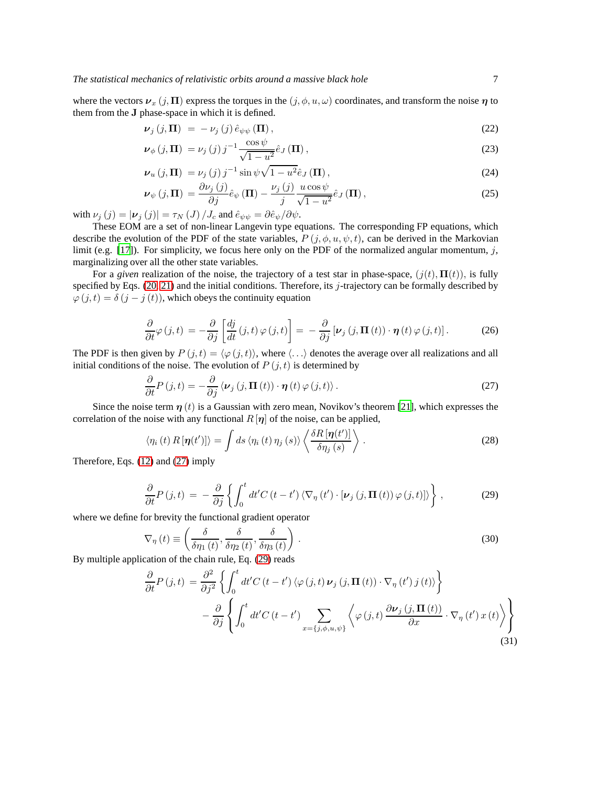where the vectors  $v_x(j, \Pi)$  express the torques in the  $(j, \phi, u, \omega)$  coordinates, and transform the noise  $\eta$  to them from the J phase-space in which it is defined.

<span id="page-6-3"></span>
$$
\nu_j(j,\Pi) = -\nu_j(j)\,\hat{e}_{\psi\psi}(\Pi),\tag{22}
$$

$$
\nu_{\phi}\left(j,\Pi\right) = \nu_{j}\left(j\right)j^{-1}\frac{\cos\psi}{\sqrt{1-u^2}}\hat{e}_{J}\left(\Pi\right),\tag{23}
$$

$$
\nu_u(j,\Pi) = \nu_j(j) j^{-1} \sin \psi \sqrt{1 - u^2} \hat{e}_J(\Pi), \qquad (24)
$$

$$
\nu_{\psi}\left(j,\Pi\right) = \frac{\partial \nu_{j}\left(j\right)}{\partial j} \hat{e}_{\psi}\left(\Pi\right) - \frac{\nu_{j}\left(j\right)}{j} \frac{u \cos \psi}{\sqrt{1 - u^{2}}} \hat{e}_{J}\left(\Pi\right),\tag{25}
$$

with  $\nu_j(j) = |\nu_j(j)| = \tau_N(J)/J_c$  and  $\hat{e}_{\psi\psi} = \partial \hat{e}_{\psi}/\partial \psi$ .

These EOM are a set of non-linear Langevin type equations. The corresponding FP equations, which describe the evolution of the PDF of the state variables,  $P(j, \phi, u, \psi, t)$ , can be derived in the Markovian limit (e.g. [\[17](#page-16-14)]). For simplicity, we focus here only on the PDF of the normalized angular momentum,  $j$ , marginalizing over all the other state variables.

For a *given* realization of the noise, the trajectory of a test star in phase-space,  $(j(t), \Pi(t))$ , is fully specified by Eqs.  $(20, 21)$  and the initial conditions. Therefore, its j-trajectory can be formally described by  $\varphi(j, t) = \delta(j - j(t))$ , which obeys the continuity equation

$$
\frac{\partial}{\partial t}\varphi(j,t) = -\frac{\partial}{\partial j}\left[\frac{dj}{dt}(j,t)\varphi(j,t)\right] = -\frac{\partial}{\partial j}\left[\nu_j(j,\Pi(t))\cdot\eta(t)\varphi(j,t)\right].\tag{26}
$$

The PDF is then given by  $P(j, t) = \langle \varphi(j, t) \rangle$ , where  $\langle \ldots \rangle$  denotes the average over all realizations and all initial conditions of the noise. The evolution of  $P(j, t)$  is determined by

<span id="page-6-0"></span>
$$
\frac{\partial}{\partial t}P(j,t) = -\frac{\partial}{\partial j}\left\langle \nu_j(j,\Pi(t))\cdot \boldsymbol{\eta}(t)\varphi(j,t)\right\rangle. \tag{27}
$$

Since the noise term  $\eta(t)$  is a Gaussian with zero mean, Novikov's theorem [\[21\]](#page-17-0), which expresses the correlation of the noise with any functional  $R[\eta]$  of the noise, can be applied,

$$
\langle \eta_i(t) \, R\left[\pmb{\eta}(t')\right] \rangle = \int ds \, \langle \eta_i(t) \, \eta_j(s) \rangle \left\langle \frac{\delta R\left[\pmb{\eta}(t')\right]}{\delta \eta_j(s)} \right\rangle \,. \tag{28}
$$

Therefore, Eqs. [\(12\)](#page-4-2) and [\(27\)](#page-6-0) imply

<span id="page-6-1"></span>
$$
\frac{\partial}{\partial t}P(j,t) = -\frac{\partial}{\partial j}\left\{ \int_0^t dt' C(t-t') \left\langle \nabla_{\eta}(t') \cdot \left[\nu_j(j,\Pi(t)) \varphi(j,t)\right] \right\rangle \right\},\tag{29}
$$

where we define for brevity the functional gradient operator

$$
\nabla_{\eta}(t) \equiv \left(\frac{\delta}{\delta \eta_1(t)}, \frac{\delta}{\delta \eta_2(t)}, \frac{\delta}{\delta \eta_3(t)}\right). \tag{30}
$$

By multiple application of the chain rule, Eq. [\(29\)](#page-6-1) reads

<span id="page-6-2"></span>
$$
\frac{\partial}{\partial t}P(j,t) = \frac{\partial^2}{\partial j^2} \left\{ \int_0^t dt' C(t-t') \left\langle \varphi(j,t) \nu_j(j, \Pi(t)) \cdot \nabla_\eta(t') j(t) \right\rangle \right\} \n- \frac{\partial}{\partial j} \left\{ \int_0^t dt' C(t-t') \sum_{x=\{j,\phi,u,\psi\}} \left\langle \varphi(j,t) \frac{\partial \nu_j(j, \Pi(t))}{\partial x} \cdot \nabla_\eta(t') x(t) \right\rangle \right\}
$$
\n(31)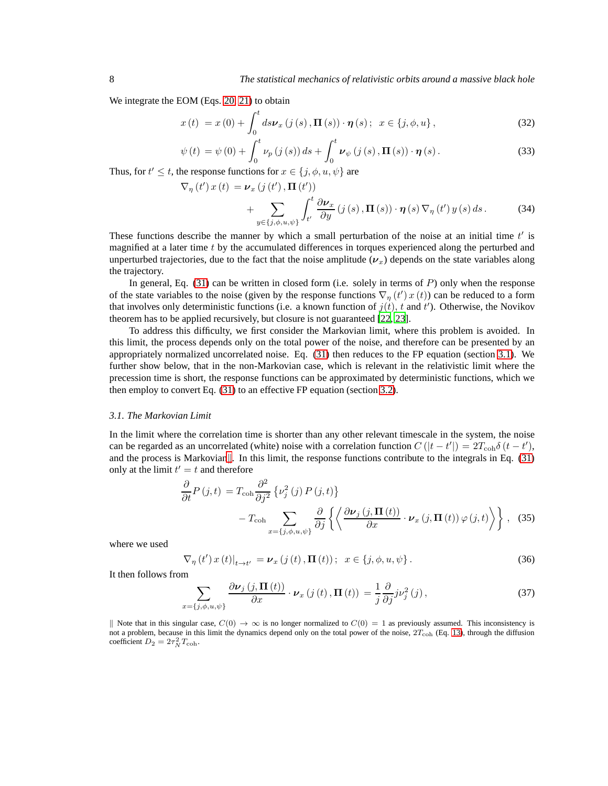We integrate the EOM (Eqs. [20, 21\)](#page-5-1) to obtain

<span id="page-7-2"></span> $\nabla_{\eta}$  (t'

$$
x(t) = x(0) + \int_0^t ds \nu_x \left( j(s), \Pi(s) \right) \cdot \eta(s); \ \ x \in \{j, \phi, u\},\tag{32}
$$

$$
\psi(t) = \psi(0) + \int_0^t \nu_p(j(s)) ds + \int_0^t \nu_{\psi}(j(s), \Pi(s)) \cdot \eta(s).
$$
 (33)

Thus, for  $t' \leq t$ , the response functions for  $x \in \{j, \phi, u, \psi\}$  are

$$
) x(t) = \nu_x (j(t'), \mathbf{\Pi}(t')) + \sum_{y \in \{j, \phi, u, \psi\}} \int_{t'}^t \frac{\partial \nu_x}{\partial y} (j(s), \mathbf{\Pi}(s)) \cdot \eta(s) \nabla_\eta(t') y(s) ds.
$$
 (34)

These functions describe the manner by which a small perturbation of the noise at an initial time  $t'$  is magnified at a later time  $t$  by the accumulated differences in torques experienced along the perturbed and unperturbed trajectories, due to the fact that the noise amplitude  $(\nu_x)$  depends on the state variables along the trajectory.

In general, Eq.  $(31)$  can be written in closed form (i.e. solely in terms of P) only when the response of the state variables to the noise (given by the response functions  $\nabla_{\eta}(t') x(t)$ ) can be reduced to a form that involves only deterministic functions (i.e. a known function of  $j(t)$ , t and t'). Otherwise, the Novikov theorem has to be applied recursively, but closure is not guaranteed [\[22](#page-17-1), [23](#page-17-2)].

To address this difficulty, we first consider the Markovian limit, where this problem is avoided. In this limit, the process depends only on the total power of the noise, and therefore can be presented by an appropriately normalized uncorrelated noise. Eq. [\(31\)](#page-6-2) then reduces to the FP equation (section [3.1\)](#page-7-0). We further show below, that in the non-Markovian case, which is relevant in the relativistic limit where the precession time is short, the response functions can be approximated by deterministic functions, which we then employ to convert Eq. [\(31\)](#page-6-2) to an effective FP equation (section [3.2\)](#page-8-0).

#### <span id="page-7-0"></span>*3.1. The Markovian Limit*

In the limit where the correlation time is shorter than any other relevant timescale in the system, the noise can be regarded as an uncorrelated (white) noise with a correlation function  $C(|t-t'|) = 2T_{coh}\delta(t-t')$ , and the process is Mar[k](#page-7-1)ovian $\parallel$ . In this limit, the response functions contribute to the integrals in Eq. [\(31\)](#page-6-2) only at the limit  $t' = t$  and therefore

$$
\frac{\partial}{\partial t} P(j, t) = T_{\text{coh}} \frac{\partial^2}{\partial j^2} \left\{ \nu_j^2(j) P(j, t) \right\} \n- T_{\text{coh}} \sum_{x = \{j, \phi, u, \psi\}} \frac{\partial}{\partial j} \left\{ \left\langle \frac{\partial \nu_j(j, \Pi(t))}{\partial x} \cdot \nu_x(j, \Pi(t)) \varphi(j, t) \right\rangle \right\}, \quad (35)
$$

where we used

$$
\nabla_{\eta} (t') x(t) \big|_{t \to t'} = \nu_x (j(t), \mathbf{\Pi}(t)); \ \ x \in \{j, \phi, u, \psi\}.
$$

It then follows from

$$
\sum_{x=\{j,\phi,u,\psi\}} \frac{\partial \nu_j(j,\Pi(t))}{\partial x} \cdot \nu_x(j(t),\Pi(t)) = \frac{1}{j} \frac{\partial}{\partial j} j \nu_j^2(j),\tag{37}
$$

<span id="page-7-1"></span>Note that in this singular case,  $C(0) \rightarrow \infty$  is no longer normalized to  $C(0) = 1$  as previously assumed. This inconsistency is not a problem, because in this limit the dynamics depend only on the total power of the noise,  $2T_{\text{coh}}$  (Eq. [13\)](#page-4-3), through the diffusion coefficient  $D_2 = 2\tau_N^2 T_{\text{coh}}$ .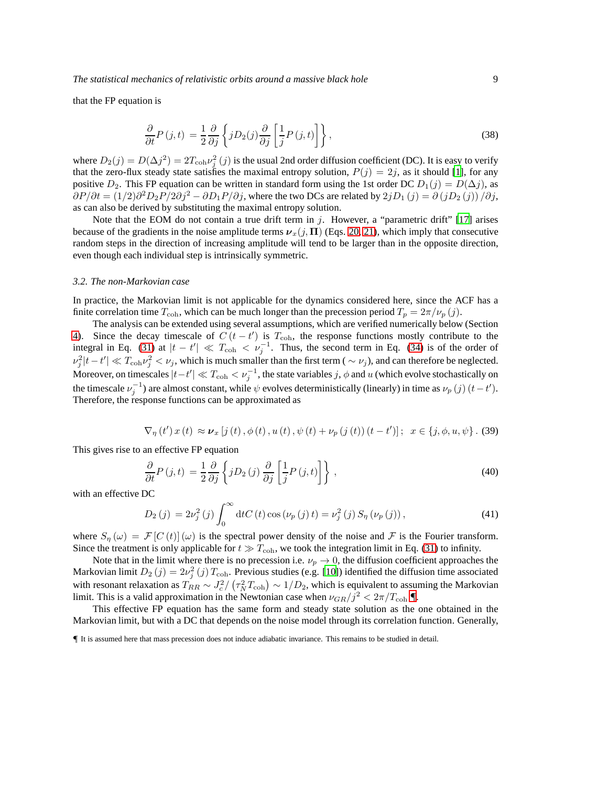that the FP equation is

$$
\frac{\partial}{\partial t}P(j,t) = \frac{1}{2}\frac{\partial}{\partial j}\left\{jD_2(j)\frac{\partial}{\partial j}\left[\frac{1}{j}P(j,t)\right]\right\},\tag{38}
$$

where  $D_2(j) = D(\Delta j^2) = 2T_{coh}\nu_j^2(j)$  is the usual 2nd order diffusion coefficient (DC). It is easy to verify that the zero-flux steady state satisfies the maximal entropy solution,  $P(j) = 2j$ , as it should [\[1\]](#page-16-0), for any positive  $D_2$ . This FP equation can be written in standard form using the 1st order DC  $D_1(j) = D(\Delta j)$ , as  $\partial P/\partial t = (1/2)\partial^2 D_2 P/2\partial j^2 - \partial D_1 P/\partial j$ , where the two DCs are related by  $2jD_1(j) = \partial (jD_2(j))/\partial j$ , as can also be derived by substituting the maximal entropy solution.

Note that the EOM do not contain a true drift term in  $j$ . However, a "parametric drift" [\[17](#page-16-14)] arises because of the gradients in the noise amplitude terms  $v_x(j, \Pi)$  (Eqs. [20, 21\)](#page-5-1), which imply that consecutive random steps in the direction of increasing amplitude will tend to be larger than in the opposite direction, even though each individual step is intrinsically symmetric.

#### <span id="page-8-0"></span>*3.2. The non-Markovian case*

In practice, the Markovian limit is not applicable for the dynamics considered here, since the ACF has a finite correlation time  $T_{\text{coh}}$ , which can be much longer than the precession period  $T_p = 2\pi/\nu_p(j)$ .

The analysis can be extended using several assumptions, which are verified numerically below (Section [4\)](#page-9-0). Since the decay timescale of  $C(t-t')$  is  $T_{coh}$ , the response functions mostly contribute to the integral in Eq. [\(31\)](#page-6-2) at  $|t - t'| \ll T_{\text{coh}} < v_j^{-1}$ . Thus, the second term in Eq. [\(34\)](#page-7-2) is of the order of  $\nu_j^2 |t-t'| \ll T_{\text{coh}} \nu_j^2 < \nu_j$ , which is much smaller than the first term (  $\sim \nu_j$ ), and can therefore be neglected. Moreover, on timescales  $|t-t'| \ll T_{\text{coh}} < v_j^{-1}$ , the state variables  $j, \phi$  and u (which evolve stochastically on the timescale  $\nu_j^{-1}$ ) are almost constant, while  $\psi$  evolves deterministically (linearly) in time as  $\nu_p(j)$   $(t-t')$ . Therefore, the response functions can be approximated as

$$
\nabla_{\eta} (t') x(t) \approx \nu_x [j(t), \phi(t), u(t), \psi(t) + \nu_p (j(t)) (t - t)]; \quad x \in \{j, \phi, u, \psi\}.
$$
 (39)

This gives rise to an effective FP equation

<span id="page-8-3"></span>
$$
\frac{\partial}{\partial t}P(j,t) = \frac{1}{2}\frac{\partial}{\partial j}\left\{jD_2(j)\frac{\partial}{\partial j}\left[\frac{1}{j}P(j,t)\right]\right\},\tag{40}
$$

with an effective DC

<span id="page-8-2"></span>
$$
D_2(j) = 2\nu_j^2(j) \int_0^\infty dt C(t) \cos(\nu_p(j)t) = \nu_j^2(j) S_\eta(\nu_p(j)), \tag{41}
$$

where  $S_{\eta}(\omega) = \mathcal{F}[C(t)](\omega)$  is the spectral power density of the noise and  $\mathcal F$  is the Fourier transform. Since the treatment is only applicable for  $t \gg T_{coh}$ , we took the integration limit in Eq. [\(31\)](#page-6-2) to infinity.

Note that in the limit where there is no precession i.e.  $\nu_p \to 0$ , the diffusion coefficient approaches the Markovian limit  $D_2(j) = 2\nu_j^2(j) T_{\text{coh}}$ . Previous studies (e.g. [\[10](#page-16-8)]) identified the diffusion time associated with resonant relaxation as  $T_{RR} \sim J_c^2 / (\tau_N^2 T_{\text{coh}}) \sim 1/D_2$ , which is equivalent to assuming the Markovian limit. This is a valid approximation in the Newtonian case when  $\nu_{GR}/j^2 < 2\pi/T_{\text{coh}}$  [¶](#page-8-1).

This effective FP equation has the same form and steady state solution as the one obtained in the Markovian limit, but with a DC that depends on the noise model through its correlation function. Generally,

<span id="page-8-1"></span><sup>¶</sup> It is assumed here that mass precession does not induce adiabatic invariance. This remains to be studied in detail.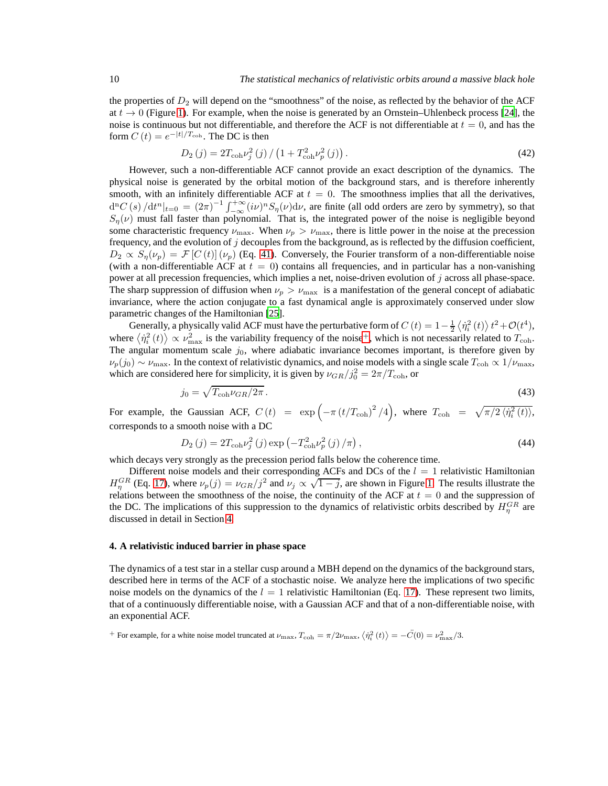the properties of  $D_2$  will depend on the "smoothness" of the noise, as reflected by the behavior of the ACF at  $t \to 0$  (Figure [1\)](#page-10-0). For example, when the noise is generated by an Ornstein–Uhlenbeck process [\[24\]](#page-17-3), the noise is continuous but not differentiable, and therefore the ACF is not differentiable at  $t = 0$ , and has the form  $C(t) = e^{-|t|/T_{\text{coh}}}$ . The DC is then

$$
D_2(j) = 2T_{\text{coh}}\nu_j^2(j) / \left(1 + T_{\text{coh}}^2 \nu_p^2(j)\right). \tag{42}
$$

However, such a non-differentiable ACF cannot provide an exact description of the dynamics. The physical noise is generated by the orbital motion of the background stars, and is therefore inherently smooth, with an infinitely differentiable ACF at  $t = 0$ . The smoothness implies that all the derivatives,  $d^n C(s)/dt^n|_{t=0} = (2\pi)^{-1} \int_{-\infty}^{+\infty} (i\nu)^n S_n(\nu) d\nu$ , are finite (all odd orders are zero by symmetry), so that  $S_n(\nu)$  must fall faster than polynomial. That is, the integrated power of the noise is negligible beyond some characteristic frequency  $\nu_{\text{max}}$ . When  $\nu_p > \nu_{\text{max}}$ , there is little power in the noise at the precession frequency, and the evolution of  $j$  decouples from the background, as is reflected by the diffusion coefficient,  $D_2 \propto S_{\eta}(\nu_p) = \mathcal{F}[C(t)](\nu_p)$  (Eq. [41\)](#page-8-2). Conversely, the Fourier transform of a non-differentiable noise (with a non-differentiable ACF at  $t = 0$ ) contains all frequencies, and in particular has a non-vanishing power at all precession frequencies, which implies a net, noise-driven evolution of j across all phase-space. The sharp suppression of diffusion when  $\nu_p > \nu_{\text{max}}$  is a manifestation of the general concept of adiabatic invariance, where the action conjugate to a fast dynamical angle is approximately conserved under slow parametric changes of the Hamiltonian [\[25\]](#page-17-4).

Generally, a physically valid ACF must have the perturbative form of  $C(t) = 1 - \frac{1}{2} \langle \dot{\eta}_i^2(t) \rangle t^2 + \mathcal{O}(t^4)$ , where  $\langle \dot{\eta}_i^2(t) \rangle \propto \nu_{\text{max}}^2$  is the variability frequency of the noise<sup>[+](#page-9-1)</sup>, which is not necessarily related to  $T_{\text{coh}}$ . The angular momentum scale  $j_0$ , where adiabatic invariance becomes important, is therefore given by  $\nu_p(j_0) \sim \nu_{\max}$ . In the context of relativistic dynamics, and noise models with a single scale  $T_{\text{coh}} \propto 1/\nu_{\max}$ , which are considered here for simplicity, it is given by  $\nu_{GR}/j_0^2 = 2\pi/T_{\text{coh}}$ , or

$$
j_0 = \sqrt{T_{\text{coh}} \nu_{GR}/2\pi} \,. \tag{43}
$$

For example, the Gaussian ACF,  $C(t) = \exp(-\pi (t/T_{\text{coh}})^2/4)$ , where  $T_{\text{coh}} = \sqrt{\pi/2 \langle \dot{\eta}_i^2(t) \rangle}$ , corresponds to a smooth noise with a DC

<span id="page-9-2"></span>
$$
D_2(j) = 2T_{\text{coh}}\nu_j^2(j)\exp\left(-T_{\text{coh}}^2\nu_p^2(j)/\pi\right),\tag{44}
$$

which decays very strongly as the precession period falls below the coherence time.

Different noise models and their corresponding ACFs and DCs of the  $l = 1$  relativistic Hamiltonian  $H_{\eta}^{GR}$  (Eq. [17\)](#page-5-2), where  $\nu_p(j) = \nu_{GR}/j^2$  and  $\nu_j \propto \sqrt{1-j}$ , are shown in Figure [1.](#page-10-0) The results illustrate the relations between the smoothness of the noise, the continuity of the ACF at  $t = 0$  and the suppression of the DC. The implications of this suppression to the dynamics of relativistic orbits described by  $H_{\eta}^{GR}$  are discussed in detail in Section [4.](#page-9-0)

## <span id="page-9-0"></span>**4. A relativistic induced barrier in phase space**

The dynamics of a test star in a stellar cusp around a MBH depend on the dynamics of the background stars, described here in terms of the ACF of a stochastic noise. We analyze here the implications of two specific noise models on the dynamics of the  $l = 1$  relativistic Hamiltonian (Eq. [17\)](#page-5-2). These represent two limits, that of a continuously differentiable noise, with a Gaussian ACF and that of a non-differentiable noise, with an exponential ACF.

<span id="page-9-1"></span><sup>+</sup> For example, for a white noise model truncated at  $\nu_{\text{max}}$ ,  $T_{\text{coh}} = \pi/2\nu_{\text{max}}$ ,  $\langle \dot{\eta}_i^2(t) \rangle = -\ddot{C}(0) = \nu_{\text{max}}^2/3$ .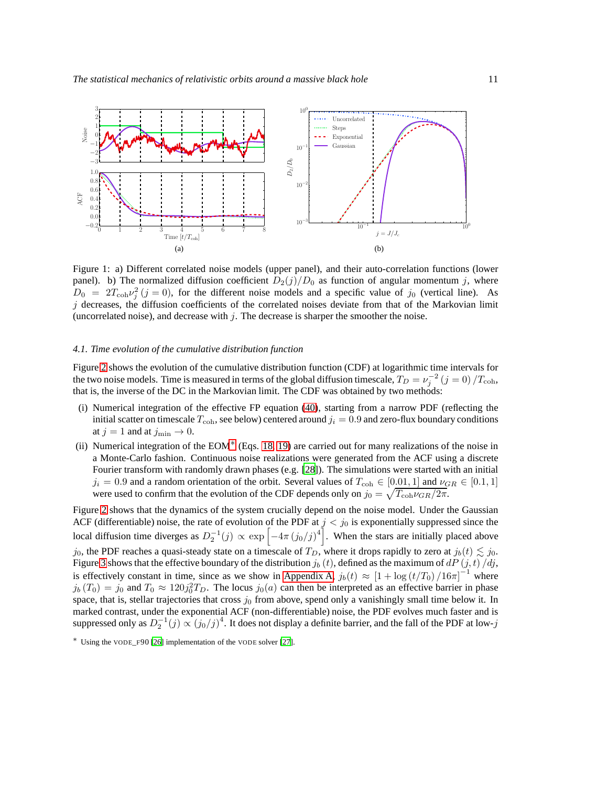<span id="page-10-0"></span>

Figure 1: a) Different correlated noise models (upper panel), and their auto-correlation functions (lower panel). b) The normalized diffusion coefficient  $D_2(j)/D_0$  as function of angular momentum j, where  $D_0 = 2T_{\text{coh}}v_j^2$  (j = 0), for the different noise models and a specific value of j<sub>0</sub> (vertical line). As  $j$  decreases, the diffusion coefficients of the correlated noises deviate from that of the Markovian limit (uncorrelated noise), and decrease with  $j$ . The decrease is sharper the smoother the noise.

## <span id="page-10-2"></span>*4.1. Time evolution of the cumulative distribution function*

Figure [2](#page-11-0) shows the evolution of the cumulative distribution function (CDF) at logarithmic time intervals for the two noise models. Time is measured in terms of the global diffusion timescale,  $T_D = v_j^{-2}$   $(j = 0)/T_{\text{coh}}$ , that is, the inverse of the DC in the Markovian limit. The CDF was obtained by two methods:

- (i) Numerical integration of the effective FP equation [\(40\)](#page-8-3), starting from a narrow PDF (reflecting the initial scatter on timescale  $T_{\text{coh}}$ , see below) centered around  $j_i = 0.9$  and zero-flux boundary conditions at  $j = 1$  and at  $j_{\min} \rightarrow 0$ .
- (ii) Numerical integration of the EOM[∗](#page-10-1) (Eqs. [18, 19\)](#page-5-3) are carried out for many realizations of the noise in a Monte-Carlo fashion. Continuous noise realizations were generated from the ACF using a discrete Fourier transform with randomly drawn phases (e.g. [\[28](#page-17-5)]). The simulations were started with an initial  $j_i = 0.9$  and a random orientation of the orbit. Several values of  $T_{coh} \in [0.01, 1]$  and  $\nu_{GR} \in [0.1, 1]$ were used to confirm that the evolution of the CDF depends only on  $j_0 = \sqrt{T_{\text{coh}} \nu_{GR}/2\pi}$ .

Figure [2](#page-11-0) shows that the dynamics of the system crucially depend on the noise model. Under the Gaussian ACF (differentiable) noise, the rate of evolution of the PDF at  $j < j_0$  is exponentially suppressed since the local diffusion time diverges as  $D_2^{-1}(j) \propto \exp \left[-4\pi (j_0/j)^4\right]$ . When the stars are initially placed above  $j_0$ , the PDF reaches a quasi-steady state on a timescale of  $T_D$ , where it drops rapidly to zero at  $j_b(t) \lesssim j_0$ . Figure [3](#page-11-1) shows that the effective boundary of the distribution  $j_b(t)$ , defined as the maximum of  $dP(t, t)/dt$ , is effectively constant in time, since as we show in [Appendix](#page-15-0) A,  $j_b(t) \approx [1 + \log(t/T_0)/16\pi]^{-1}$  where  $j_b(T_0) = j_0$  and  $T_0 \approx 120j_0^2T_D$ . The locus  $j_0(a)$  can then be interpreted as an effective barrier in phase space, that is, stellar trajectories that cross  $j_0$  from above, spend only a vanishingly small time below it. In marked contrast, under the exponential ACF (non-differentiable) noise, the PDF evolves much faster and is suppressed only as  $D_2^{-1}(j) \propto (j_0/j)^4$ . It does not display a definite barrier, and the fall of the PDF at low-j

<span id="page-10-1"></span><sup>∗</sup> Using the VODE\_F90 [\[26](#page-17-6)] implementation of the VODE solver [\[27](#page-17-7)].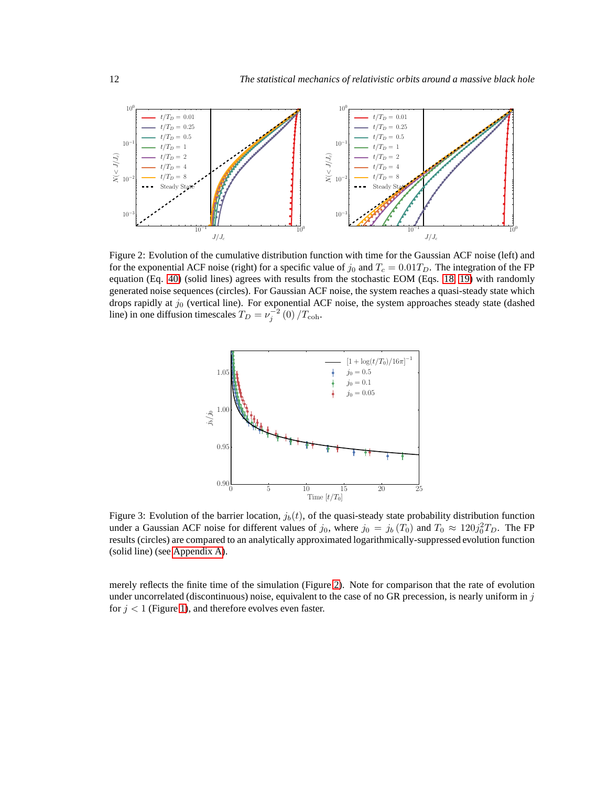<span id="page-11-0"></span>

<span id="page-11-1"></span>Figure 2: Evolution of the cumulative distribution function with time for the Gaussian ACF noise (left) and for the exponential ACF noise (right) for a specific value of  $j_0$  and  $T_c = 0.01T_D$ . The integration of the FP equation (Eq. [40\)](#page-8-3) (solid lines) agrees with results from the stochastic EOM (Eqs. [18, 19\)](#page-5-3) with randomly generated noise sequences (circles). For Gaussian ACF noise, the system reaches a quasi-steady state which drops rapidly at  $j_0$  (vertical line). For exponential ACF noise, the system approaches steady state (dashed line) in one diffusion timescales  $T_D = \nu_j^{-2} (0) / T_{\text{coh}}$ .



Figure 3: Evolution of the barrier location,  $j_b(t)$ , of the quasi-steady state probability distribution function under a Gaussian ACF noise for different values of  $j_0$ , where  $j_0 = j_b(T_0)$  and  $T_0 \approx 120j_0^2T_D$ . The FP results (circles) are compared to an analytically approximated logarithmically-suppressed evolution function (solid line) (see [Appendix A\)](#page-15-0).

merely reflects the finite time of the simulation (Figure [2\)](#page-11-0). Note for comparison that the rate of evolution under uncorrelated (discontinuous) noise, equivalent to the case of no GR precession, is nearly uniform in  $j$ for  $j < 1$  (Figure [1\)](#page-10-0), and therefore evolves even faster.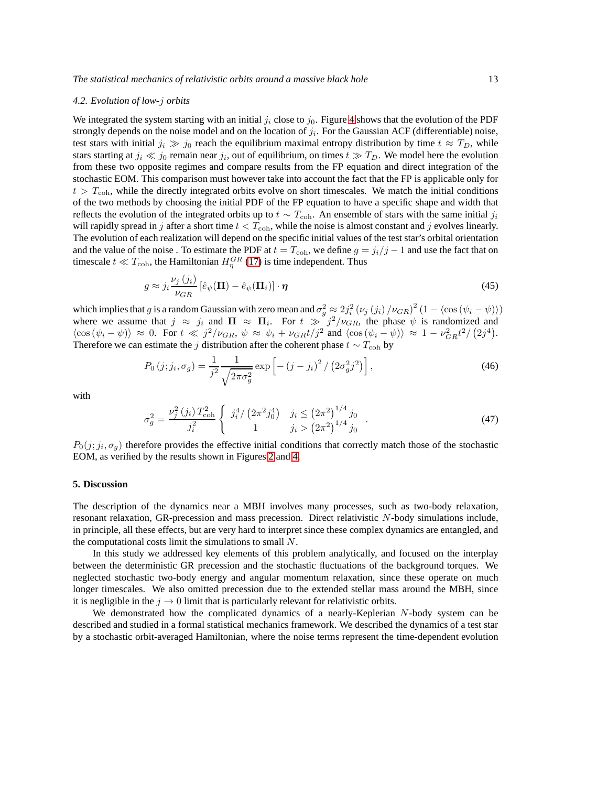#### <span id="page-12-1"></span>*4.2. Evolution of low-*j *orbits*

We integrated the system starting with an initial  $j_i$  close to  $j_0$ . Figure [4](#page-13-0) shows that the evolution of the PDF strongly depends on the noise model and on the location of  $j_i$ . For the Gaussian ACF (differentiable) noise, test stars with initial  $j_i \gg j_0$  reach the equilibrium maximal entropy distribution by time  $t \approx T_D$ , while stars starting at  $j_i \ll j_0$  remain near  $j_i$ , out of equilibrium, on times  $t \gg T_D$ . We model here the evolution from these two opposite regimes and compare results from the FP equation and direct integration of the stochastic EOM. This comparison must however take into account the fact that the FP is applicable only for  $t > T<sub>coh</sub>$ , while the directly integrated orbits evolve on short timescales. We match the initial conditions of the two methods by choosing the initial PDF of the FP equation to have a specific shape and width that reflects the evolution of the integrated orbits up to  $t \sim T_{\text{coh}}$ . An ensemble of stars with the same initial  $j_i$ will rapidly spread in j after a short time  $t < T<sub>coh</sub>$ , while the noise is almost constant and j evolves linearly. The evolution of each realization will depend on the specific initial values of the test star's orbital orientation and the value of the noise . To estimate the PDF at  $t = T_{coh}$ , we define  $g = j_i/j - 1$  and use the fact that on timescale  $t \ll T_{\text{coh}}$ , the Hamiltonian  $H_{\eta}^{GR}$  [\(17\)](#page-5-2) is time independent. Thus

$$
g \approx j_i \frac{\nu_j(j_i)}{\nu_{GR}} \left[ \hat{e}_{\psi}(\Pi) - \hat{e}_{\psi}(\Pi_i) \right] \cdot \eta \tag{45}
$$

which implies that g is a random Gaussian with zero mean and  $\sigma_g^2 \approx 2j_i^2 (\nu_j(j_i)/\nu_{GR})^2 (1 - \langle \cos(\psi_i - \psi) \rangle)$ where we assume that  $j \approx j_i$  and  $\Pi \approx \Pi_i$ . For  $t \gg j^2/\nu_{GR}$ , the phase  $\psi$  is randomized and  $\langle \cos(\psi_i - \psi) \rangle \approx 0$ . For  $t \ll j^2/\nu_{GR}$ ,  $\psi \approx \psi_i + \nu_{GR}t/j^2$  and  $\langle \cos(\psi_i - \psi) \rangle \approx 1 - \nu_{GR}^2 t^2/(2j^4)$ . Therefore we can estimate the j distribution after the coherent phase  $t \sim T_{\text{coh}}$  by

$$
P_0(j; j_i, \sigma_g) = \frac{1}{j^2} \frac{1}{\sqrt{2\pi\sigma_g^2}} \exp\left[ -\left(j - j_i\right)^2 / \left(2\sigma_g^2 j^2\right) \right],\tag{46}
$$

with

$$
\sigma_g^2 = \frac{\nu_j^2(j_i) T_{\text{coh}}^2}{j_i^2} \begin{cases} j_i^4 / \left(2\pi^2 j_0^4\right) & j_i \le \left(2\pi^2\right)^{1/4} j_0 \\ 1 & j_i > \left(2\pi^2\right)^{1/4} j_0 \end{cases} . \tag{47}
$$

 $P_0(j; j_i, \sigma_g)$  therefore provides the effective initial conditions that correctly match those of the stochastic EOM, as verified by the results shown in Figures [2](#page-11-0) and [4.](#page-13-0)

## <span id="page-12-0"></span>**5. Discussion**

The description of the dynamics near a MBH involves many processes, such as two-body relaxation, resonant relaxation, GR-precession and mass precession. Direct relativistic N-body simulations include, in principle, all these effects, but are very hard to interpret since these complex dynamics are entangled, and the computational costs limit the simulations to small  $N$ .

In this study we addressed key elements of this problem analytically, and focused on the interplay between the deterministic GR precession and the stochastic fluctuations of the background torques. We neglected stochastic two-body energy and angular momentum relaxation, since these operate on much longer timescales. We also omitted precession due to the extended stellar mass around the MBH, since it is negligible in the  $j \rightarrow 0$  limit that is particularly relevant for relativistic orbits.

We demonstrated how the complicated dynamics of a nearly-Keplerian  $N$ -body system can be described and studied in a formal statistical mechanics framework. We described the dynamics of a test star by a stochastic orbit-averaged Hamiltonian, where the noise terms represent the time-dependent evolution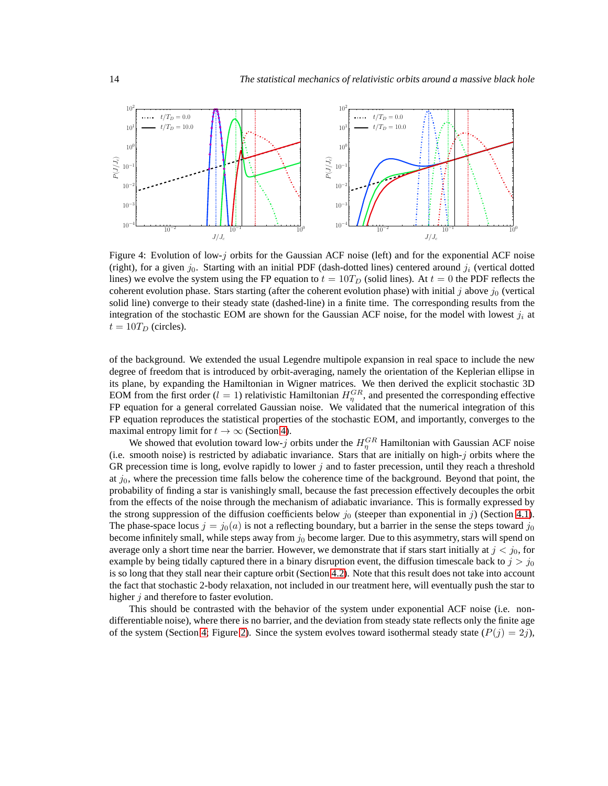<span id="page-13-0"></span>

Figure 4: Evolution of low-j orbits for the Gaussian ACF noise (left) and for the exponential ACF noise (right), for a given  $j_0$ . Starting with an initial PDF (dash-dotted lines) centered around  $j_i$  (vertical dotted lines) we evolve the system using the FP equation to  $t = 10T_D$  (solid lines). At  $t = 0$  the PDF reflects the coherent evolution phase. Stars starting (after the coherent evolution phase) with initial j above  $j_0$  (vertical solid line) converge to their steady state (dashed-line) in a finite time. The corresponding results from the integration of the stochastic EOM are shown for the Gaussian ACF noise, for the model with lowest  $j_i$  at  $t = 10T_D$  (circles).

of the background. We extended the usual Legendre multipole expansion in real space to include the new degree of freedom that is introduced by orbit-averaging, namely the orientation of the Keplerian ellipse in its plane, by expanding the Hamiltonian in Wigner matrices. We then derived the explicit stochastic 3D EOM from the first order ( $l = 1$ ) relativistic Hamiltonian  $H_{\eta}^{GR}$ , and presented the corresponding effective FP equation for a general correlated Gaussian noise. We validated that the numerical integration of this FP equation reproduces the statistical properties of the stochastic EOM, and importantly, converges to the maximal entropy limit for  $t \to \infty$  (Section [4\)](#page-9-0).

We showed that evolution toward low-j orbits under the  $H_{\eta}^{GR}$  Hamiltonian with Gaussian ACF noise (i.e. smooth noise) is restricted by adiabatic invariance. Stars that are initially on high-j orbits where the GR precession time is long, evolve rapidly to lower j and to faster precession, until they reach a threshold at  $j_0$ , where the precession time falls below the coherence time of the background. Beyond that point, the probability of finding a star is vanishingly small, because the fast precession effectively decouples the orbit from the effects of the noise through the mechanism of adiabatic invariance. This is formally expressed by the strong suppression of the diffusion coefficients below  $j_0$  (steeper than exponential in j) (Section [4.1\)](#page-10-2). The phase-space locus  $j = j_0(a)$  is not a reflecting boundary, but a barrier in the sense the steps toward  $j_0$ become infinitely small, while steps away from  $j_0$  become larger. Due to this asymmetry, stars will spend on average only a short time near the barrier. However, we demonstrate that if stars start initially at  $j < j_0$ , for example by being tidally captured there in a binary disruption event, the diffusion timescale back to  $j > j_0$ is so long that they stall near their capture orbit (Section [4.2\)](#page-12-1). Note that this result does not take into account the fact that stochastic 2-body relaxation, not included in our treatment here, will eventually push the star to higher  $j$  and therefore to faster evolution.

This should be contrasted with the behavior of the system under exponential ACF noise (i.e. nondifferentiable noise), where there is no barrier, and the deviation from steady state reflects only the finite age of the system (Section [4;](#page-9-0) Figure [2\)](#page-11-0). Since the system evolves toward isothermal steady state  $(P(j) = 2j)$ ,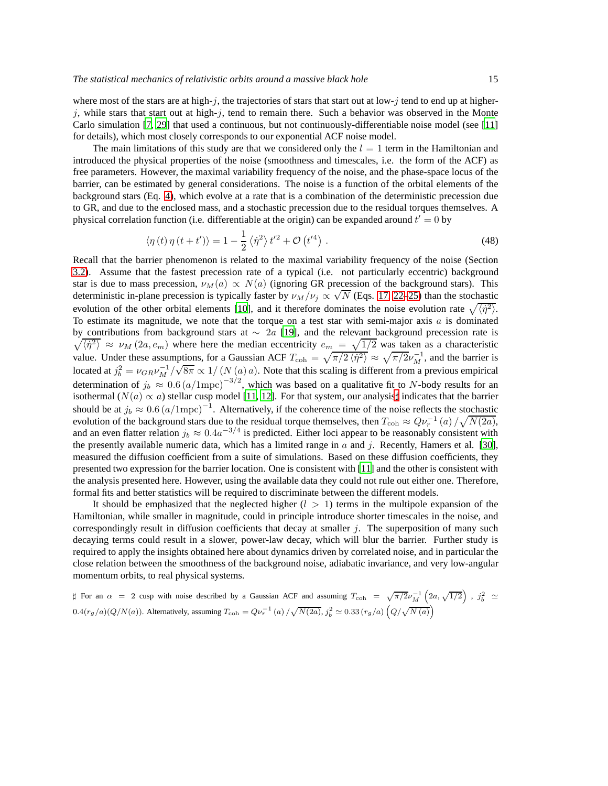where most of the stars are at high-j, the trajectories of stars that start out at low-j tend to end up at higherj, while stars that start out at high-j, tend to remain there. Such a behavior was observed in the Monte Carlo simulation [\[7](#page-16-5), [29\]](#page-17-8) that used a continuous, but not continuously-differentiable noise model (see [\[11\]](#page-16-9) for details), which most closely corresponds to our exponential ACF noise model.

The main limitations of this study are that we considered only the  $l = 1$  term in the Hamiltonian and introduced the physical properties of the noise (smoothness and timescales, i.e. the form of the ACF) as free parameters. However, the maximal variability frequency of the noise, and the phase-space locus of the barrier, can be estimated by general considerations. The noise is a function of the orbital elements of the background stars (Eq. [4\)](#page-2-2), which evolve at a rate that is a combination of the deterministic precession due to GR, and due to the enclosed mass, and a stochastic precession due to the residual torques themselves. A physical correlation function (i.e. differentiable at the origin) can be expanded around  $t' = 0$  by

$$
\langle \eta(t)\,\eta(t+t')\rangle = 1 - \frac{1}{2}\left\langle \dot{\eta}^2 \right\rangle t'^2 + \mathcal{O}\left(t'^4\right) \,. \tag{48}
$$

Recall that the barrier phenomenon is related to the maximal variability frequency of the noise (Section [3.2\)](#page-8-0). Assume that the fastest precession rate of a typical (i.e. not particularly eccentric) background star is due to mass precession,  $\nu_M(a) \propto N(a)$  (ignoring GR precession of the background stars). This deterministic in-plane precession is typically faster by  $\nu_M/\nu_j \propto \sqrt{N}$  (Eqs. [17,](#page-5-2) [22–25\)](#page-6-3) than the stochastic deterministic evolution of the other orbital elements [\[10](#page-16-8)], and it therefore dominates the noise evolution rate  $\sqrt{\langle \eta^2 \rangle}$ . To estimate its magnitude, we note that the torque on a test star with semi-major axis  $a$  is dominated  $\sqrt{\langle \eta^2 \rangle} \approx \nu_M(2a, e_m)$  where here the median eccentricity  $e_m = \sqrt{1/2}$  was taken as a characteristic by contributions from background stars at  $\sim 2a$  [\[19\]](#page-16-16), and the relevant background precession rate is value. Under these assumptions, for a Gaussian ACF  $T_{\text{coh}} = \sqrt{\pi/2 \langle \dot{\eta}^2 \rangle} \approx \sqrt{\pi/2 \nu_M^{-1}}$ , and the barrier is located at  $j_b^2 = \nu_{GR} \nu_M^{-1}/\sqrt{8\pi} \propto 1/(N(a) a)$ . Note that this scaling is different from a previous empirical determination of  $j_b \approx 0.6 (a/1 \text{mpc})^{-3/2}$ , which was based on a qualitative fit to N-body results for an isothermal ( $N(a) \propto a$ ) stellar cusp model [\[11](#page-16-9), [12](#page-16-10)]. For that system, our analysis‡ indicates that the barrier should be at  $j_b \approx 0.6 (a/1 \text{mpc})^{-1}$ . Alternatively, if the coherence time of the noise reflects the stochastic evolution of the background stars due to the residual torque themselves, then  $T_{\text{coh}} \approx Q \nu_r^{-1}(a) / \sqrt{N(2a)}$ , and an even flatter relation  $j_b \approx 0.4a^{-3/4}$  is predicted. Either loci appear to be reasonably consistent with the presently available numeric data, which has a limited range in  $a$  and  $j$ . Recently, Hamers et al. [\[30](#page-17-9)], measured the diffusion coefficient from a suite of simulations. Based on these diffusion coefficients, they presented two expression for the barrier location. One is consistent with [\[11\]](#page-16-9) and the other is consistent with the analysis presented here. However, using the available data they could not rule out either one. Therefore, formal fits and better statistics will be required to discriminate between the different models.

It should be emphasized that the neglected higher  $(l > 1)$  terms in the multipole expansion of the Hamiltonian, while smaller in magnitude, could in principle introduce shorter timescales in the noise, and correspondingly result in diffusion coefficients that decay at smaller  $j$ . The superposition of many such decaying terms could result in a slower, power-law decay, which will blur the barrier. Further study is required to apply the insights obtained here about dynamics driven by correlated noise, and in particular the close relation between the smoothness of the background noise, adiabatic invariance, and very low-angular momentum orbits, to real physical systems.

<span id="page-14-0"></span> $\sharp$  For an  $\alpha = 2$  cusp with noise described by a Gaussian ACF and assuming  $T_{\text{coh}} = \sqrt{\pi/2} \nu_M^{-1} \left( 2a, \sqrt{1/2} \right)$ ,  $j_b^2 \simeq$  $0.4(r_g/a)(Q/N(a))$ . Alternatively, assuming  $T_{\text{coh}} = Q\nu_r^{-1}(a) / \sqrt{N(2a)}$ ,  $j_b^2 \simeq 0.33 (r_g/a)(Q/\sqrt{N(a)})$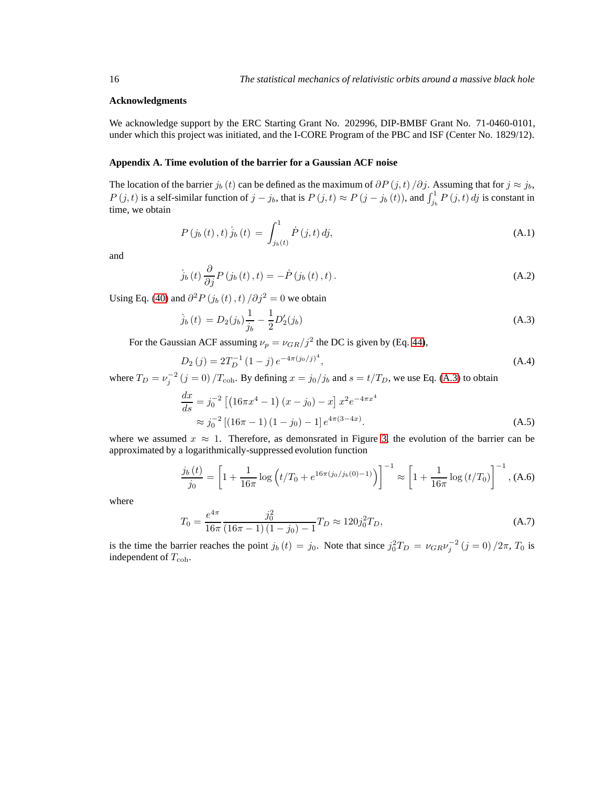#### **Acknowledgments**

We acknowledge support by the ERC Starting Grant No. 202996, DIP-BMBF Grant No. 71-0460-0101, under which this project was initiated, and the I-CORE Program of the PBC and ISF (Center No. 1829/12).

## <span id="page-15-0"></span>**Appendix A. Time evolution of the barrier for a Gaussian ACF noise**

The location of the barrier  $j_b(t)$  can be defined as the maximum of  $\partial P(j,t)/\partial j$ . Assuming that for  $j \approx j_b$ ,  $P(j,t)$  is a self-similar function of  $j - j_b$ , that is  $P(j,t) \approx P(j - j_b(t))$ , and  $\int_{j_b}^1 P(j,t) \, dj$  is constant in time, we obtain

$$
P(j_b(t),t)\dot{j}_b(t) = \int_{j_b(t)}^1 \dot{P}(j,t) \, dj,\tag{A.1}
$$

and

$$
\dot{j}_{b}(t)\frac{\partial}{\partial j}P(j_{b}(t),t) = -\dot{P}(j_{b}(t),t).
$$
\n(A.2)

Using Eq. [\(40\)](#page-8-3) and  $\partial^2 P(j_b(t), t) / \partial j^2 = 0$  we obtain

<span id="page-15-1"></span>
$$
\dot{j}_b(t) = D_2(j_b)\frac{1}{j_b} - \frac{1}{2}D_2'(j_b)
$$
\n(A.3)

For the Gaussian ACF assuming  $\nu_p = \nu_{GR}/j^2$  the DC is given by (Eq. [44\)](#page-9-2),

$$
D_2(j) = 2T_D^{-1} (1 - j) e^{-4\pi (j_0/j)^4}, \tag{A.4}
$$

where  $T_D = v_j^{-2}$   $(j = 0) / T_{coh}$ . By defining  $x = j_0 / j_b$  and  $s = t / T_D$ , we use Eq. [\(A.3\)](#page-15-1) to obtain

$$
\frac{dx}{ds} = j_0^{-2} \left[ \left( 16\pi x^4 - 1 \right) (x - j_0) - x \right] x^2 e^{-4\pi x^4}
$$
\n
$$
\approx j_0^{-2} \left[ \left( 16\pi - 1 \right) (1 - j_0) - 1 \right] e^{4\pi (3 - 4x)}.
$$
\n(A.5)

where we assumed  $x \approx 1$ . Therefore, as demonsrated in Figure [3,](#page-11-1) the evolution of the barrier can be approximated by a logarithmically-suppressed evolution function

$$
\frac{j_b(t)}{j_0} = \left[1 + \frac{1}{16\pi} \log\left(t/T_0 + e^{16\pi(j_0/j_b(0) - 1)}\right)\right]^{-1} \approx \left[1 + \frac{1}{16\pi} \log\left(t/T_0\right)\right]^{-1}, (A.6)
$$

where

$$
T_0 = \frac{e^{4\pi}}{16\pi} \frac{j_0^2}{(16\pi - 1)(1 - j_0) - 1} T_D \approx 120 j_0^2 T_D,
$$
\n(A.7)

is the time the barrier reaches the point  $j_b(t) = j_0$ . Note that since  $j_0^2 T_D = \nu_{GR} \nu_j^{-2} (j = 0) / 2\pi$ ,  $T_0$  is independent of  $T_{\text{coh}}$ .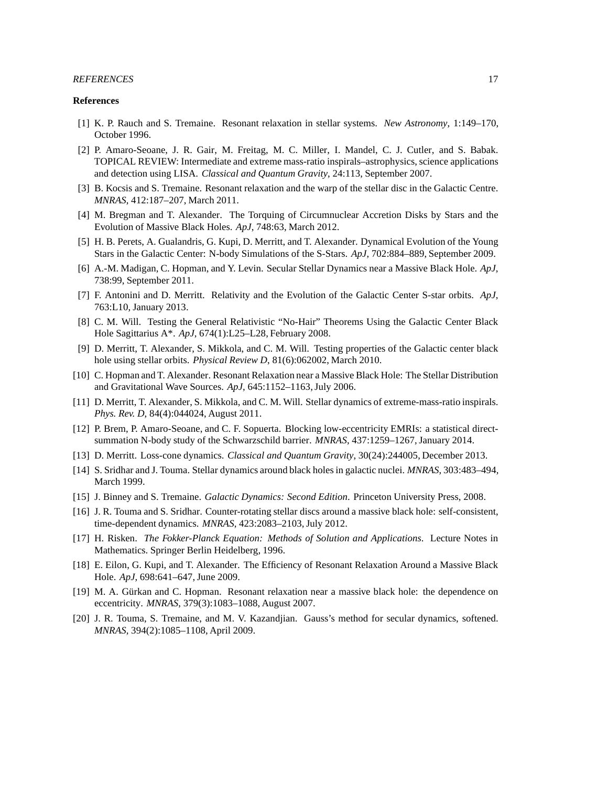## *REFERENCES* 17

#### **References**

- <span id="page-16-0"></span>[1] K. P. Rauch and S. Tremaine. Resonant relaxation in stellar systems. *New Astronomy*, 1:149–170, October 1996.
- <span id="page-16-1"></span>[2] P. Amaro-Seoane, J. R. Gair, M. Freitag, M. C. Miller, I. Mandel, C. J. Cutler, and S. Babak. TOPICAL REVIEW: Intermediate and extreme mass-ratio inspirals–astrophysics, science applications and detection using LISA. *Classical and Quantum Gravity*, 24:113, September 2007.
- <span id="page-16-2"></span>[3] B. Kocsis and S. Tremaine. Resonant relaxation and the warp of the stellar disc in the Galactic Centre. *MNRAS*, 412:187–207, March 2011.
- <span id="page-16-3"></span>[4] M. Bregman and T. Alexander. The Torquing of Circumnuclear Accretion Disks by Stars and the Evolution of Massive Black Holes. *ApJ*, 748:63, March 2012.
- <span id="page-16-4"></span>[5] H. B. Perets, A. Gualandris, G. Kupi, D. Merritt, and T. Alexander. Dynamical Evolution of the Young Stars in the Galactic Center: N-body Simulations of the S-Stars. *ApJ*, 702:884–889, September 2009.
- [6] A.-M. Madigan, C. Hopman, and Y. Levin. Secular Stellar Dynamics near a Massive Black Hole. *ApJ*, 738:99, September 2011.
- <span id="page-16-5"></span>[7] F. Antonini and D. Merritt. Relativity and the Evolution of the Galactic Center S-star orbits. *ApJ*, 763:L10, January 2013.
- <span id="page-16-6"></span>[8] C. M. Will. Testing the General Relativistic "No-Hair" Theorems Using the Galactic Center Black Hole Sagittarius A\*. *ApJ*, 674(1):L25–L28, February 2008.
- <span id="page-16-7"></span>[9] D. Merritt, T. Alexander, S. Mikkola, and C. M. Will. Testing properties of the Galactic center black hole using stellar orbits. *Physical Review D*, 81(6):062002, March 2010.
- <span id="page-16-8"></span>[10] C. Hopman and T. Alexander. Resonant Relaxation near a Massive Black Hole: The Stellar Distribution and Gravitational Wave Sources. *ApJ*, 645:1152–1163, July 2006.
- <span id="page-16-9"></span>[11] D. Merritt, T. Alexander, S. Mikkola, and C. M. Will. Stellar dynamics of extreme-mass-ratio inspirals. *Phys. Rev. D*, 84(4):044024, August 2011.
- <span id="page-16-10"></span>[12] P. Brem, P. Amaro-Seoane, and C. F. Sopuerta. Blocking low-eccentricity EMRIs: a statistical directsummation N-body study of the Schwarzschild barrier. *MNRAS*, 437:1259–1267, January 2014.
- <span id="page-16-11"></span>[13] D. Merritt. Loss-cone dynamics. *Classical and Quantum Gravity*, 30(24):244005, December 2013.
- <span id="page-16-12"></span>[14] S. Sridhar and J. Touma. Stellar dynamics around black holes in galactic nuclei. *MNRAS*, 303:483–494, March 1999.
- [15] J. Binney and S. Tremaine. *Galactic Dynamics: Second Edition*. Princeton University Press, 2008.
- <span id="page-16-13"></span>[16] J. R. Touma and S. Sridhar. Counter-rotating stellar discs around a massive black hole: self-consistent, time-dependent dynamics. *MNRAS*, 423:2083–2103, July 2012.
- <span id="page-16-14"></span>[17] H. Risken. *The Fokker-Planck Equation: Methods of Solution and Applications*. Lecture Notes in Mathematics. Springer Berlin Heidelberg, 1996.
- <span id="page-16-15"></span>[18] E. Eilon, G. Kupi, and T. Alexander. The Efficiency of Resonant Relaxation Around a Massive Black Hole. *ApJ*, 698:641–647, June 2009.
- <span id="page-16-16"></span>[19] M. A. Gürkan and C. Hopman. Resonant relaxation near a massive black hole: the dependence on eccentricity. *MNRAS*, 379(3):1083–1088, August 2007.
- <span id="page-16-17"></span>[20] J. R. Touma, S. Tremaine, and M. V. Kazandjian. Gauss's method for secular dynamics, softened. *MNRAS*, 394(2):1085–1108, April 2009.